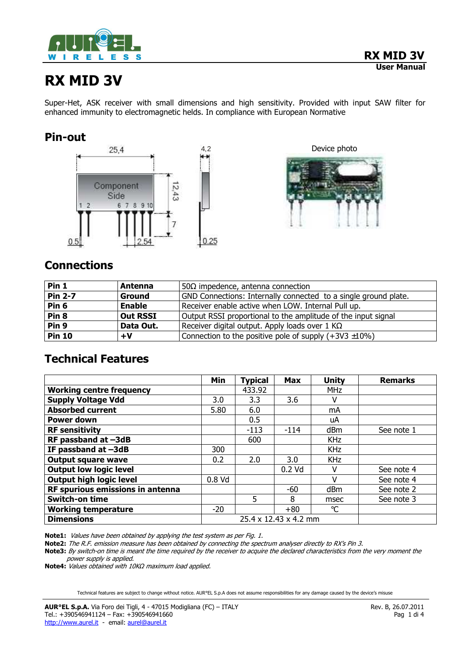

# **RX MID 3V**

Super-Het, ASK receiver with small dimensions and high sensitivity. Provided with input SAW filter for enhanced immunity to electromagnetic helds. In compliance with European Normative

# **Pin-out**



4,2 Device photo



# **Connections**

| Pin 1            | <b>Antenna</b>  | 50 $\Omega$ impedence, antenna connection                         |  |  |  |  |
|------------------|-----------------|-------------------------------------------------------------------|--|--|--|--|
| <b>Pin 2-7</b>   | <b>Ground</b>   | GND Connections: Internally connected to a single ground plate.   |  |  |  |  |
| Pin <sub>6</sub> | <b>Enable</b>   | Receiver enable active when LOW. Internal Pull up.                |  |  |  |  |
| Pin <sub>8</sub> | <b>Out RSSI</b> | Output RSSI proportional to the amplitude of the input signal     |  |  |  |  |
| Pin <sub>9</sub> | Data Out.       | Receiver digital output. Apply loads over 1 $K\Omega$             |  |  |  |  |
| <b>Pin 10</b>    | +V              | Connection to the positive pole of supply $(+3\sqrt{3} \pm 10\%)$ |  |  |  |  |

# **Technical Features**

|                                  | Min                   | <b>Typical</b> | <b>Max</b> | Unity           | <b>Remarks</b> |
|----------------------------------|-----------------------|----------------|------------|-----------------|----------------|
| <b>Working centre frequency</b>  |                       | 433.92         |            | <b>MHz</b>      |                |
| <b>Supply Voltage Vdd</b>        | 3.0                   | 3.3            | 3.6        | v               |                |
| <b>Absorbed current</b>          | 5.80                  | 6.0            |            | mA              |                |
| Power down                       |                       | 0.5            |            | uA              |                |
| <b>RF sensitivity</b>            |                       | $-113$         | $-114$     | dB <sub>m</sub> | See note 1     |
| RF passband at -3dB              |                       | 600            |            | <b>KHz</b>      |                |
| IF passband at -3dB              | 300                   |                |            | <b>KHz</b>      |                |
| <b>Output square wave</b>        | 0.2                   | 2.0            | 3.0        | <b>KHz</b>      |                |
| <b>Output low logic level</b>    |                       |                | $0.2$ Vd   | v               | See note 4     |
| <b>Output high logic level</b>   | $0.8$ Vd              |                |            | v               | See note 4     |
| RF spurious emissions in antenna |                       |                | -60        | d <sub>Bm</sub> | See note 2     |
| <b>Switch-on time</b>            |                       | 5              | 8          | msec            | See note 3     |
| <b>Working temperature</b>       | $-20$                 |                | $+80$      | $^{\circ}C$     |                |
| <b>Dimensions</b>                | 25.4 x 12.43 x 4.2 mm |                |            |                 |                |

**Note1:** Values have been obtained by applying the test system as per Fig. 1.

**Note2:** The R.F. emission measure has been obtained by connecting the spectrum analyser directly to RX's Pin 3.

**Note3:** By switch-on time is meant the time required by the receiver to acquire the declared characteristics from the very moment the power supply is applied.

**Note4:** Values obtained with 10KΩ maximum load applied.

Technical features are subject to change without notice. AUR°EL S.p.A does not assume responsibilities for any damage caused by the device's misuse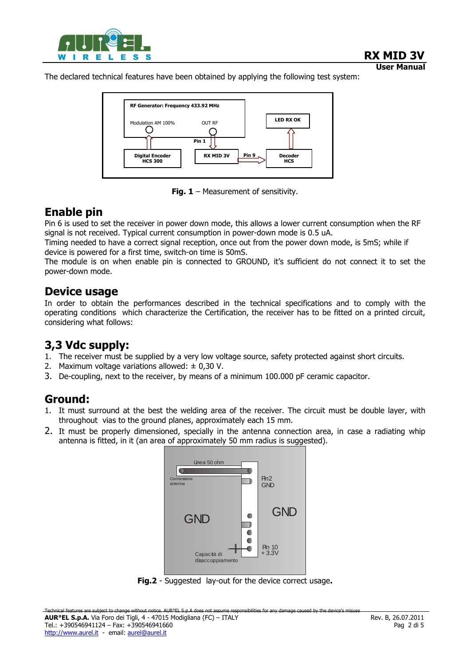

 **User Manual** The declared technical features have been obtained by applying the following test system:



**Fig. 1** – Measurement of sensitivity.

# **Enable pin**

Pin 6 is used to set the receiver in power down mode, this allows a lower current consumption when the RF signal is not received. Typical current consumption in power-down mode is 0.5 uA.

Timing needed to have a correct signal reception, once out from the power down mode, is 5mS; while if device is powered for a first time, switch-on time is 50mS.

The module is on when enable pin is connected to GROUND, it's sufficient do not connect it to set the power-down mode.

### **Device usage**

In order to obtain the performances described in the technical specifications and to comply with the operating conditions which characterize the Certification, the receiver has to be fitted on a printed circuit, considering what follows:

# **3,3 Vdc supply:**

- 1. The receiver must be supplied by a very low voltage source, safety protected against short circuits.
- 2. Maximum voltage variations allowed:  $\pm$  0,30 V.
- 3. De-coupling, next to the receiver, by means of a minimum 100.000 pF ceramic capacitor.

# **Ground:**

- 1. It must surround at the best the welding area of the receiver. The circuit must be double layer, with throughout vias to the ground planes, approximately each 15 mm.
- 2. It must be properly dimensioned, specially in the antenna connection area, in case a radiating whip antenna is fitted, in it (an area of approximately 50 mm radius is suggested).



**Fig.2** - Suggested lay-out for the device correct usage**.**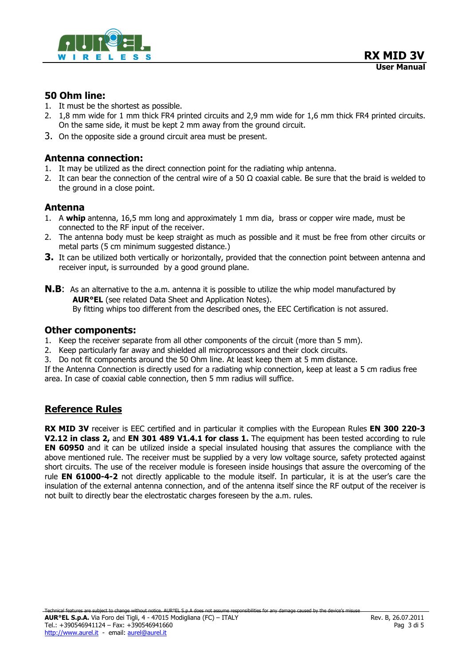

#### **50 Ohm line:**

- 1. It must be the shortest as possible.
- 2. 1,8 mm wide for 1 mm thick FR4 printed circuits and 2,9 mm wide for 1,6 mm thick FR4 printed circuits. On the same side, it must be kept 2 mm away from the ground circuit.
- 3. On the opposite side a ground circuit area must be present.

#### **Antenna connection:**

- 1. It may be utilized as the direct connection point for the radiating whip antenna.
- 2. It can bear the connection of the central wire of a 50  $\Omega$  coaxial cable. Be sure that the braid is welded to the ground in a close point.

#### **Antenna**

- 1. A **whip** antenna, 16,5 mm long and approximately 1 mm dia, brass or copper wire made, must be connected to the RF input of the receiver.
- 2. The antenna body must be keep straight as much as possible and it must be free from other circuits or metal parts (5 cm minimum suggested distance.)
- **3.** It can be utilized both vertically or horizontally, provided that the connection point between antenna and receiver input, is surrounded by a good ground plane.
- **N.B**:As an alternative to the a.m. antenna it is possible to utilize the whip model manufactured by **AUR°EL** (see related Data Sheet and Application Notes). By fitting whips too different from the described ones, the EEC Certification is not assured.

#### **Other components:**

- 1. Keep the receiver separate from all other components of the circuit (more than 5 mm).
- 2. Keep particularly far away and shielded all microprocessors and their clock circuits.
- 3. Do not fit components around the 50 Ohm line. At least keep them at 5 mm distance.

If the Antenna Connection is directly used for a radiating whip connection, keep at least a 5 cm radius free area. In case of coaxial cable connection, then 5 mm radius will suffice.

#### **Reference Rules**

**RX MID 3V** receiver is EEC certified and in particular it complies with the European Rules **EN 300 220-3 V2.12 in class 2, and EN 301 489 V1.4.1 for class 1.** The equipment has been tested according to rule **EN 60950** and it can be utilized inside a special insulated housing that assures the compliance with the above mentioned rule. The receiver must be supplied by a very low voltage source, safety protected against short circuits. The use of the receiver module is foreseen inside housings that assure the overcoming of the rule **EN 61000-4-2** not directly applicable to the module itself. In particular, it is at the user's care the insulation of the external antenna connection, and of the antenna itself since the RF output of the receiver is not built to directly bear the electrostatic charges foreseen by the a.m. rules.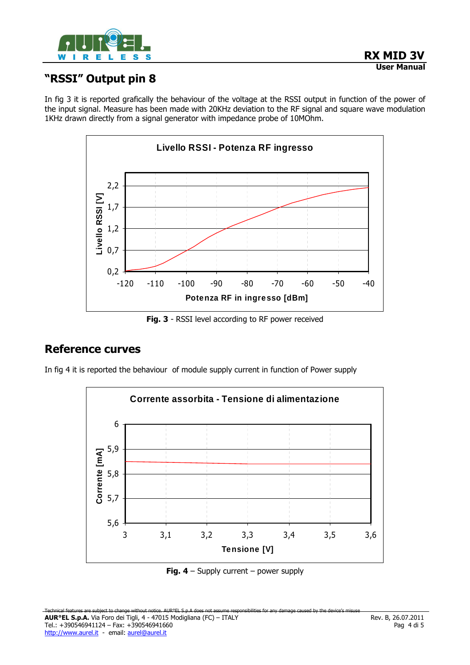

# **"RSSI" Output pin 8**

In fig 3 it is reported grafically the behaviour of the voltage at the RSSI output in function of the power of the input signal. Measure has been made with 20KHz deviation to the RF signal and square wave modulation 1KHz drawn directly from a signal generator with impedance probe of 10MOhm.



**Fig. 3** - RSSI level according to RF power received

# **Reference curves**

In fig 4 it is reported the behaviour of module supply current in function of Power supply



**Fig. 4** – Supply current – power supply